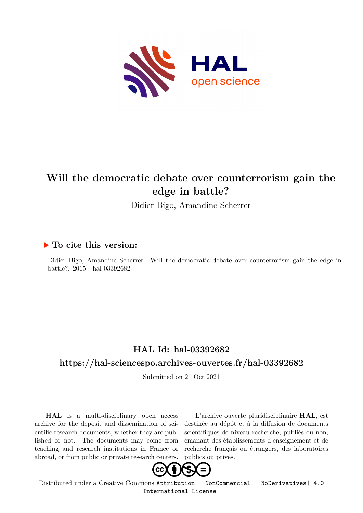

## **Will the democratic debate over counterrorism gain the edge in battle?**

Didier Bigo, Amandine Scherrer

### **To cite this version:**

Didier Bigo, Amandine Scherrer. Will the democratic debate over counterrorism gain the edge in battle?. 2015. hal-03392682

## **HAL Id: hal-03392682**

### **<https://hal-sciencespo.archives-ouvertes.fr/hal-03392682>**

Submitted on 21 Oct 2021

**HAL** is a multi-disciplinary open access archive for the deposit and dissemination of scientific research documents, whether they are published or not. The documents may come from teaching and research institutions in France or abroad, or from public or private research centers.

L'archive ouverte pluridisciplinaire **HAL**, est destinée au dépôt et à la diffusion de documents scientifiques de niveau recherche, publiés ou non, émanant des établissements d'enseignement et de recherche français ou étrangers, des laboratoires publics ou privés.



Distributed under a Creative Commons [Attribution - NonCommercial - NoDerivatives| 4.0](http://creativecommons.org/licenses/by-nc-nd/4.0/) [International License](http://creativecommons.org/licenses/by-nc-nd/4.0/)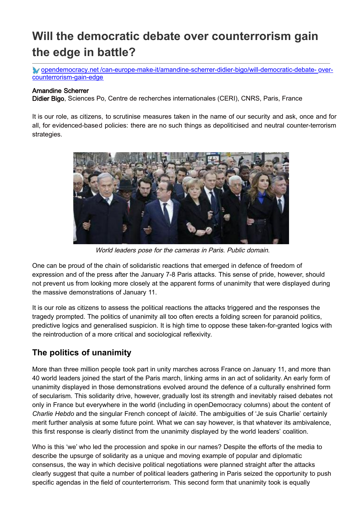# **Will the democratic debate over counterrorism gain the edge in battle?**

opendemocracy.net [/can-europe-make-it/amandine-scherrer-didier-bigo/will-democratic-debate-](https://www.opendemocracy.net/en/can-europe-make-it/will-democratic-debate-over-counterrorism-gain-edge/) overcounterrorism-gain-edge

#### Amandine Scherrer

Didier Bigo, Sciences Po, Centre de recherches internationales (CERI), CNRS, Paris, France

It is our role, as citizens, to scrutinise measures taken in the name of our security and ask, once and for all, for evidenced-based policies: there are no such things as depoliticised and neutral counter-terrorism strategies.



World leaders pose for the cameras in Paris. Public domain.

One can be proud of the chain of solidaristic reactions that emerged in defence of freedom of expression and of the press after the January 7-8 Paris attacks. This sense of pride, however, should not prevent us from looking more closely at the apparent forms of unanimity that were displayed during the massive demonstrations of January 11.

It is our role as citizens to assess the political reactions the attacks triggered and the responses the tragedy prompted. The politics of unanimity all too often erects a folding screen for paranoid politics, predictive logics and generalised suspicion. It is high time to oppose these taken-for-granted logics with the reintroduction of a more critical and sociological reflexivity.

### **The politics of unanimity**

More than three million people took part in unity marches across France on January 11, and more than 40 world leaders joined the start of the Paris march, linking arms in an act of solidarity. An early form of unanimity displayed in those demonstrations evolved around the defence of a culturally enshrined form of secularism. This solidarity drive, however, gradually lost its strength and inevitably raised debates not only in France but everywhere in the world (including in openDemocracy columns) about the content of *Charlie Hebdo* and the singular French concept of *laicité*. The ambiguities of 'Je suis Charlie' certainly merit further analysis at some future point. What we can say however, is that whatever its ambivalence, this first response is clearly distinct from the unanimity displayed by the world leaders' coalition.

Who is this 'we' who led the procession and spoke in our names? Despite the efforts of the media to describe the upsurge of solidarity as a unique and moving example of popular and diplomatic consensus, the way in which decisive political negotiations were planned straight after the attacks clearly suggest that quite a number of political leaders gathering in Paris seized the opportunity to push specific agendas in the field of counterterrorism. This second form that unanimity took is equally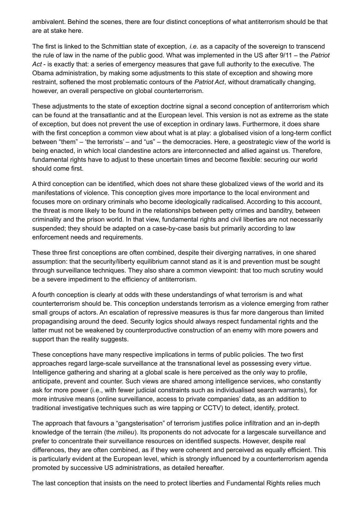ambivalent. Behind the scenes, there are four distinct conceptions of what antiterrorism should be that are at stake here.

The first is linked to the Schmittian state of exception, *i.e.* as a capacity of the sovereign to transcend the rule of law in the name of the public good. What was implemented in the US after 9/11 – the *Patriot Act* - is exactly that: a series of emergency measures that gave full authority to the executive. The Obama administration, by making some adjustments to this state of exception and showing more restraint, softened the most problematic contours of the *Patriot Act*, without dramatically changing, however, an overall perspective on global counterterrorism.

These adjustments to the state of exception doctrine signal a second conception of antiterrorism which can be found at the transatlantic and at the European level. This version is not as extreme as the state of exception, but does not prevent the use of exception in ordinary laws. Furthermore, it does share with the first conception a common view about what is at play: a globalised vision of a long-term conflict between "them" – 'the terrorists' – and "us" – the democracies. Here, a geostrategic view of the world is being enacted, in which local clandestine actors are interconnected and allied against us. Therefore, fundamental rights have to adjust to these uncertain times and become flexible: securing our world should come first.

A third conception can be identified, which does not share these globalized views of the world and its manifestations of violence. This conception gives more importance to the local environment and focuses more on ordinary criminals who become ideologically radicalised. According to this account, the threat is more likely to be found in the relationships between petty crimes and banditry, between criminality and the prison world. In that view, fundamental rights and civil liberties are not necessarily suspended; they should be adapted on a case-by-case basis but primarily according to law enforcement needs and requirements.

These three first conceptions are often combined, despite their diverging narratives, in one shared assumption: that the security/liberty equilibrium cannot stand as it is and prevention must be sought through surveillance techniques. They also share a common viewpoint: that too much scrutiny would be a severe impediment to the efficiency of antiterrorism.

A fourth conception is clearly at odds with these understandings of what terrorism is and what counterterrorism should be. This conception understands terrorism as a violence emerging from rather small groups of actors. An escalation of repressive measures is thus far more dangerous than limited propagandising around the deed. Security logics should always respect fundamental rights and the latter must not be weakened by counterproductive construction of an enemy with more powers and support than the reality suggests.

These conceptions have many respective implications in terms of public policies. The two first approaches regard large-scale surveillance at the transnational level as possessing every virtue. Intelligence gathering and sharing at a global scale is here perceived as the only way to profile, anticipate, prevent and counter. Such views are shared among intelligence services, who constantly ask for more power (i.e., with fewer judicial constraints such as individualised search warrants), for more intrusive means (online surveillance, access to private companies' data, as an addition to traditional investigative techniques such as wire tapping or CCTV) to detect, identify, protect.

The approach that favours a "gangsterisation" of terrorism justifies police infiltration and an in-depth knowledge of the terrain (the *milieu*). Its proponents do not advocate for a largescale surveillance and prefer to concentrate their surveillance resources on identified suspects. However, despite real differences, they are often combined, as if they were coherent and perceived as equally efficient. This is particularly evident at the European level, which is strongly influenced by a counterterrorism agenda promoted by successive US administrations, as detailed hereafter.

The last conception that insists on the need to protect liberties and Fundamental Rights relies much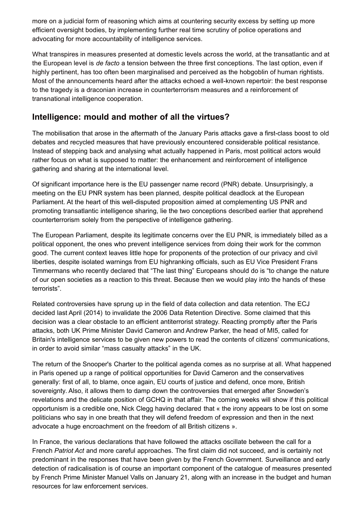more on a judicial form of reasoning which aims at countering security excess by setting up more efficient oversight bodies, by implementing further real time scrutiny of police operations and advocating for more accountability of intelligence services.

What transpires in measures presented at domestic levels across the world, at the transatlantic and at the European level is *de facto* a tension between the three first conceptions. The last option, even if highly pertinent, has too often been marginalised and perceived as the hobgoblin of human rightists. Most of the announcements heard after the attacks echoed a well-known repertoir: the best response to the tragedy is a draconian increase in counterterrorism measures and a reinforcement of transnational intelligence cooperation.

### **Intelligence: mould and mother of all the virtues?**

The mobilisation that arose in the aftermath of the January Paris attacks gave a first-class boost to old debates and recycled measures that have previously encountered considerable political resistance. Instead of stepping back and analysing what actually happened in Paris, most political actors would rather focus on what is supposed to matter: the enhancement and reinforcement of intelligence gathering and sharing at the international level.

Of significant importance here is the EU passenger name record (PNR) debate. Unsurprisingly, a meeting on the EU PNR system has been planned, despite political deadlock at the European Parliament. At the heart of this well-disputed proposition aimed at complementing US PNR and promoting transatlantic intelligence sharing, lie the two conceptions described earlier that apprehend counterterrorism solely from the perspective of intelligence gathering.

The European Parliament, despite its legitimate concerns over the EU PNR, is immediately billed as a political opponent, the ones who prevent intelligence services from doing their work for the common good. The current context leaves little hope for proponents of the protection of our privacy and civil liberties, despite isolated warnings from EU highranking officials, such as EU Vice President Frans Timmermans who recently declared that "The last thing" Europeans should do is "to change the nature of our open societies as a reaction to this threat. Because then we would play into the hands of these terrorists".

Related controversies have sprung up in the field of data collection and data retention. The ECJ decided last April (2014) to invalidate the 2006 Data Retention Directive. Some claimed that this decision was a clear obstacle to an efficient antiterrorist strategy. Reacting promptly after the Paris attacks, both UK Prime Minister David Cameron and Andrew Parker, the head of MI5, called for Britain's intelligence services to be given new powers to read the contents of citizens' communications, in order to avoid similar "mass casualty attacks" in the UK.

The return of the Snooper's Charter to the political agenda comes as no surprise at all. What happened in Paris opened up a range of political opportunities for David Cameron and the conservatives generally: first of all, to blame, once again, EU courts of justice and defend, once more, British sovereignty. Also, it allows them to damp down the controversies that emerged after Snowden's revelations and the delicate position of GCHQ in that affair. The coming weeks will show if this political opportunism is a credible one, Nick Clegg having declared that « the irony appears to be lost on some politicians who say in one breath that they will defend freedom of expression and then in the next advocate a huge encroachment on the freedom of all British citizens ».

In France, the various declarations that have followed the attacks oscillate between the call for a French *Patriot Act* and more careful approaches. The first claim did not succeed, and is certainly not predominant in the responses that have been given by the French Government. Surveillance and early detection of radicalisation is of course an important component of the catalogue of measures presented by French Prime Minister Manuel Valls on January 21, along with an increase in the budget and human resources for law enforcement services.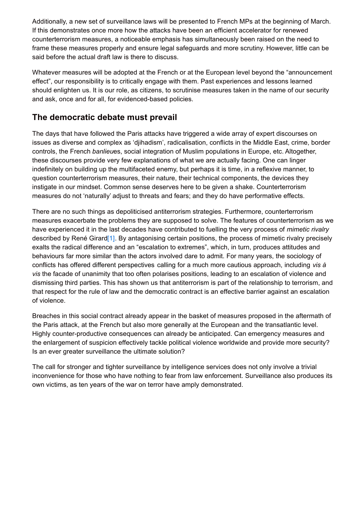Additionally, a new set of surveillance laws will be presented to French MPs at the beginning of March. If this demonstrates once more how the attacks have been an efficient accelerator for renewed counterterrorism measures, a noticeable emphasis has simultaneously been raised on the need to frame these measures properly and ensure legal safeguards and more scrutiny. However, little can be said before the actual draft law is there to discuss.

Whatever measures will be adopted at the French or at the European level beyond the "announcement effect", our responsibility is to critically engage with them. Past experiences and lessons learned should enlighten us. It is our role, as citizens, to scrutinise measures taken in the name of our security and ask, once and for all, for evidenced-based policies.

### **The democratic debate must prevail**

The days that have followed the Paris attacks have triggered a wide array of expert discourses on issues as diverse and complex as 'djihadism', radicalisation, conflicts in the Middle East, crime, border controls, the French *banlieu*es, social integration of Muslim populations in Europe, etc. Altogether, these discourses provide very few explanations of what we are actually facing. One can linger indefinitely on building up the multifaceted enemy, but perhaps it is time, in a reflexive manner, to question counterterrorism measures, their nature, their technical components, the devices they instigate in our mindset. Common sense deserves here to be given a shake. Counterterrorism measures do not 'naturally' adjust to threats and fears; and they do have performative effects.

There are no such things as depoliticised antiterrorism strategies. Furthermore, counterterrorism measures exacerbate the problems they are supposed to solve. The features of counterterrorism as we have experienced it in the last decades have contributed to fuelling the very process of *mimetic rivalry* described by René Girard<sup>[1]</sup>. By antagonising certain positions, the process of mimetic rivalry precisely exalts the radical difference and an "escalation to extremes", which, in turn, produces attitudes and behaviours far more similar than the actors involved dare to admit. For many years, the sociology of conflicts has offered different perspectives calling for a much more cautious approach, including *vis à vis* the facade of unanimity that too often polarises positions, leading to an escalation of violence and dismissing third parties. This has shown us that antiterrorism is part of the relationship to terrorism, and that respect for the rule of law and the democratic contract is an effective barrier against an escalation of violence.

Breaches in this social contract already appear in the basket of measures proposed in the aftermath of the Paris attack, at the French but also more generally at the European and the transatlantic level. Highly counter-productive consequences can already be anticipated. Can emergency measures and the enlargement of suspicion effectively tackle political violence worldwide and provide more security? Is an ever greater surveillance the ultimate solution?

The call for stronger and tighter surveillance by intelligence services does not only involve a trivial inconvenience for those who have nothing to fear from law enforcement. Surveillance also produces its own victims, as ten years of the war on terror have amply demonstrated.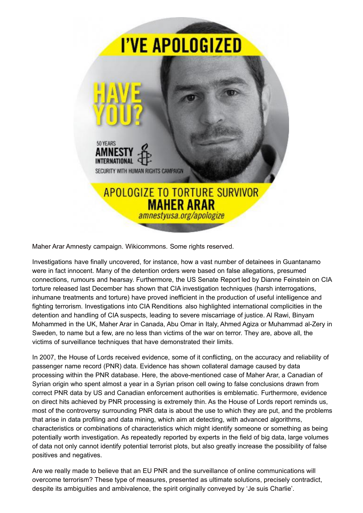

Maher Arar Amnesty campaign. Wikicommons. Some rights reserved.

Investigations have finally uncovered, for instance, how a vast number of detainees in Guantanamo were in fact innocent. Many of the detention orders were based on false allegations, presumed connections, rumours and hearsay. Furthermore, the US Senate Report led by Dianne Feinstein on CIA torture released last December has shown that CIA investigation techniques (harsh interrogations, inhumane treatments and torture) have proved inefficient in the production of useful intelligence and fighting terrorism. Investigations into CIA Renditions also highlighted international complicities in the detention and handling of CIA suspects, leading to severe miscarriage of justice. Al Rawi, Binyam Mohammed in the UK, Maher Arar in Canada, Abu Omar in Italy, Ahmed Agiza or Muhammad al-Zery in Sweden, to name but a few, are no less than victims of the war on terror. They are, above all, the victims of surveillance techniques that have demonstrated their limits.

In 2007, the House of Lords received evidence, some of it conflicting, on the accuracy and reliability of passenger name record (PNR) data. Evidence has shown collateral damage caused by data processing within the PNR database. Here, the above-mentioned case of Maher Arar, a Canadian of Syrian origin who spent almost a year in a Syrian prison cell owing to false conclusions drawn from correct PNR data by US and Canadian enforcement authorities is emblematic. Furthermore, evidence on direct hits achieved by PNR processing is extremely thin. As the House of Lords report reminds us, most of the controversy surrounding PNR data is about the use to which they are put, and the problems that arise in data profiling and data mining, which aim at detecting, with advanced algorithms, characteristics or combinations of characteristics which might identify someone or something as being potentially worth investigation. As repeatedly reported by experts in the field of big data, large volumes of data not only cannot identify potential terrorist plots, but also greatly increase the possibility of false positives and negatives.

Are we really made to believe that an EU PNR and the surveillance of online communications will overcome terrorism? These type of measures, presented as ultimate solutions, precisely contradict, despite its ambiguities and ambivalence, the spirit originally conveyed by 'Je suis Charlie'.